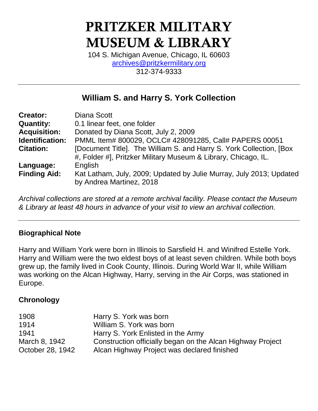# PRITZKER MILITARY MUSEUM & LIBRARY

104 S. Michigan Avenue, Chicago, IL 60603 [archives@pritzkermilitary.org](mailto:archives@pritzkermilitary.org) 312-374-9333

# **William S. and Harry S. York Collection**

| <b>Creator:</b>     | Diana Scott                                                                                                                            |
|---------------------|----------------------------------------------------------------------------------------------------------------------------------------|
| <b>Quantity:</b>    | 0.1 linear feet, one folder                                                                                                            |
| <b>Acquisition:</b> | Donated by Diana Scott, July 2, 2009                                                                                                   |
| Identification:     | PMML Item# 800029, OCLC# 428091285, Call# PAPERS 00051                                                                                 |
| <b>Citation:</b>    | [Document Title]. The William S. and Harry S. York Collection, [Box]<br>#, Folder #], Pritzker Military Museum & Library, Chicago, IL. |
| Language:           | English                                                                                                                                |
| <b>Finding Aid:</b> | Kat Latham, July, 2009; Updated by Julie Murray, July 2013; Updated<br>by Andrea Martinez, 2018                                        |

*Archival collections are stored at a remote archival facility. Please contact the Museum & Library at least 48 hours in advance of your visit to view an archival collection.*

## **Biographical Note**

Harry and William York were born in Illinois to Sarsfield H. and Winifred Estelle York. Harry and William were the two eldest boys of at least seven children. While both boys grew up, the family lived in Cook County, Illinois. During World War II, while William was working on the Alcan Highway, Harry, serving in the Air Corps, was stationed in Europe.

## **Chronology**

| 1908             | Harry S. York was born                                     |
|------------------|------------------------------------------------------------|
| 1914             | William S. York was born                                   |
| 1941             | Harry S. York Enlisted in the Army                         |
| March 8, 1942    | Construction officially began on the Alcan Highway Project |
| October 28, 1942 | Alcan Highway Project was declared finished                |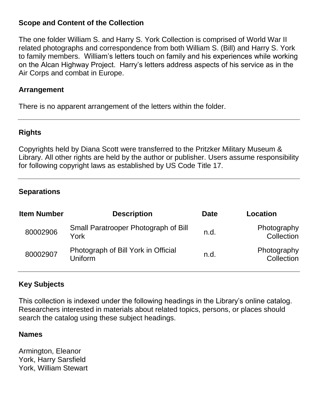#### **Scope and Content of the Collection**

The one folder William S. and Harry S. York Collection is comprised of World War II related photographs and correspondence from both William S. (Bill) and Harry S. York to family members. William's letters touch on family and his experiences while working on the Alcan Highway Project. Harry's letters address aspects of his service as in the Air Corps and combat in Europe.

#### **Arrangement**

There is no apparent arrangement of the letters within the folder.

#### **Rights**

Copyrights held by Diana Scott were transferred to the Pritzker Military Museum & Library. All other rights are held by the author or publisher. Users assume responsibility for following copyright laws as established by US Code Title 17.

#### **Separations**

| <b>Item Number</b> | <b>Description</b>                             | <b>Date</b> | Location                  |
|--------------------|------------------------------------------------|-------------|---------------------------|
| 80002906           | Small Paratrooper Photograph of Bill<br>York   | n.d.        | Photography<br>Collection |
| 80002907           | Photograph of Bill York in Official<br>Uniform | n.d.        | Photography<br>Collection |

#### **Key Subjects**

This collection is indexed under the following headings in the Library's online catalog. Researchers interested in materials about related topics, persons, or places should search the catalog using these subject headings.

#### **Names**

Armington, Eleanor York, Harry Sarsfield York, William Stewart